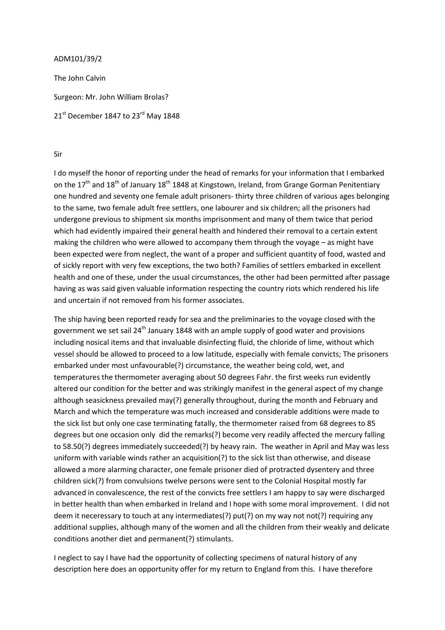## ADM101/39/2

The John Calvin Surgeon: Mr. John William Brolas? 21<sup>st</sup> December 1847 to 23<sup>rd</sup> May 1848

## Sir

I do myself the honor of reporting under the head of remarks for your information that I embarked on the 17<sup>th</sup> and 18<sup>th</sup> of January 18<sup>th</sup> 1848 at Kingstown, Ireland, from Grange Gorman Penitentiary one hundred and seventy one female adult prisoners- thirty three children of various ages belonging to the same, two female adult free settlers, one labourer and six children; all the prisoners had undergone previous to shipment six months imprisonment and many of them twice that period which had evidently impaired their general health and hindered their removal to a certain extent making the children who were allowed to accompany them through the voyage – as might have been expected were from neglect, the want of a proper and sufficient quantity of food, wasted and of sickly report with very few exceptions, the two both? Families of settlers embarked in excellent health and one of these, under the usual circumstances, the other had been permitted after passage having as was said given valuable information respecting the country riots which rendered his life and uncertain if not removed from his former associates.

The ship having been reported ready for sea and the preliminaries to the voyage closed with the government we set sail 24<sup>th</sup> January 1848 with an ample supply of good water and provisions including nosical items and that invaluable disinfecting fluid, the chloride of lime, without which vessel should be allowed to proceed to a low latitude, especially with female convicts; The prisoners embarked under most unfavourable(?) circumstance, the weather being cold, wet, and temperatures the thermometer averaging about 50 degrees Fahr. the first weeks run evidently altered our condition for the better and was strikingly manifest in the general aspect of my change although seasickness prevailed may(?) generally throughout, during the month and February and March and which the temperature was much increased and considerable additions were made to the sick list but only one case terminating fatally, the thermometer raised from 68 degrees to 85 degrees but one occasion only did the remarks(?) become very readily affected the mercury falling to 58.50(?) degrees immediately succeeded(?) by heavy rain. The weather in April and May was less uniform with variable winds rather an acquisition(?) to the sick list than otherwise, and disease allowed a more alarming character, one female prisoner died of protracted dysentery and three children sick(?) from convulsions twelve persons were sent to the Colonial Hospital mostly far advanced in convalescence, the rest of the convicts free settlers I am happy to say were discharged in better health than when embarked in Ireland and I hope with some moral improvement. I did not deem it neceressary to touch at any intermediates(?) put(?) on my way not not(?) requiring any additional supplies, although many of the women and all the children from their weakly and delicate conditions another diet and permanent(?) stimulants.

I neglect to say I have had the opportunity of collecting specimens of natural history of any description here does an opportunity offer for my return to England from this. I have therefore